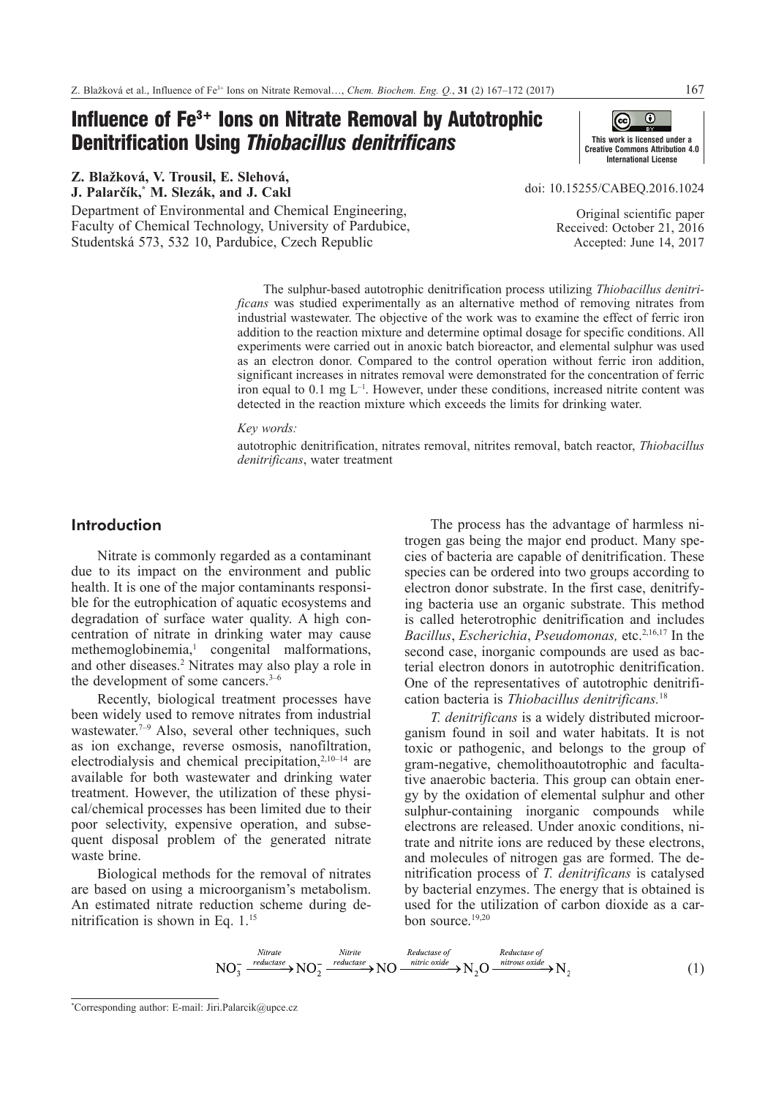# Influence of Fe3+ Ions on Nitrate Removal by Autotrophic Denitrification Using *Thiobacillus denitrificans*

**Z. BlaŢková, V. Trousil, E. Slehová, J. Palarčík,\* M. Slezák, and J. Cakl**

Department of Environmental and Chemical Engineering, Faculty of Chemical Technology, University of Pardubice, Studentská 573, 532 10, Pardubice, Czech Republic



doi: [10.15255/CABEQ.2016.1024](https://doi.org/10.15255/CABEQ.2016.1024)

Original scientific paper Received: October 21, 2016 Accepted: June 14, 2017

The sulphur-based autotrophic denitrification process utilizing *Thiobacillus denitrificans* was studied experimentally as an alternative method of removing nitrates from industrial wastewater. The objective of the work was to examine the effect of ferric iron addition to the reaction mixture and determine optimal dosage for specific conditions. All experiments were carried out in anoxic batch bioreactor, and elemental sulphur was used as an electron donor. Compared to the control operation without ferric iron addition, significant increases in nitrates removal were demonstrated for the concentration of ferric iron equal to 0.1 mg  $L^{-1}$ . However, under these conditions, increased nitrite content was detected in the reaction mixture which exceeds the limits for drinking water.

# *Key words:*

autotrophic denitrification, nitrates removal, nitrites removal, batch reactor, *Thiobacillus denitrificans*, water treatment

# Introduction

Nitrate is commonly regarded as a contaminant due to its impact on the environment and public health. It is one of the major contaminants responsible for the eutrophication of aquatic ecosystems and degradation of surface water quality. A high concentration of nitrate in drinking water may cause methemoglobinemia,<sup>1</sup> congenital malformations, and other diseases.<sup>2</sup> Nitrates may also play a role in the development of some cancers.3–6

Recently, biological treatment processes have been widely used to remove nitrates from industrial wastewater.<sup>7-9</sup> Also, several other techniques, such as ion exchange, reverse osmosis, nanofiltration, electrodialysis and chemical precipitation, $2,10-14$  are available for both wastewater and drinking water treatment. However, the utilization of these physical/chemical processes has been limited due to their poor selectivity, expensive operation, and subsequent disposal problem of the generated nitrate waste brine.

Biological methods for the removal of nitrates are based on using a microorganism's metabolism. An estimated nitrate reduction scheme during denitrification is shown in Eq. 1.15

The process has the advantage of harmless nitrogen gas being the major end product. Many species of bacteria are capable of denitrification. These species can be ordered into two groups according to electron donor substrate. In the first case, denitrifying bacteria use an organic substrate. This method is called heterotrophic denitrification and includes *Bacillus, Escherichia, Pseudomonas, etc.*<sup>2,16,17</sup> In the second case, inorganic compounds are used as bacterial electron donors in autotrophic denitrification. One of the representatives of autotrophic denitrification bacteria is *Thiobacillus denitrificans.*<sup>18</sup>

*T. denitrificans* is a widely distributed microorganism found in soil and water habitats. It is not toxic or pathogenic, and belongs to the group of gram-negative, chemolithoautotrophic and facultative anaerobic bacteria. This group can obtain energy by the oxidation of elemental sulphur and other sulphur-containing inorganic compounds while electrons are released. Under anoxic conditions, nitrate and nitrite ions are reduced by these electrons, and molecules of nitrogen gas are formed. The denitrification process of *T. denitrificans* is catalysed by bacterial enzymes. The energy that is obtained is used for the utilization of carbon dioxide as a carbon source.19,20

$$
NO_3^- \xrightarrow{\text{Nitrate}} NO_2^- \xrightarrow{\text{Nitrite}} NO \xrightarrow{\text{Netric}} NO \xrightarrow{\text{nitric oxide}} N_2 O \xrightarrow{\text{nitrous oxide}} N_2 \qquad (1)
$$

<sup>\*</sup> Corresponding author: E-mail: Jiri.Palarcik@upce.cz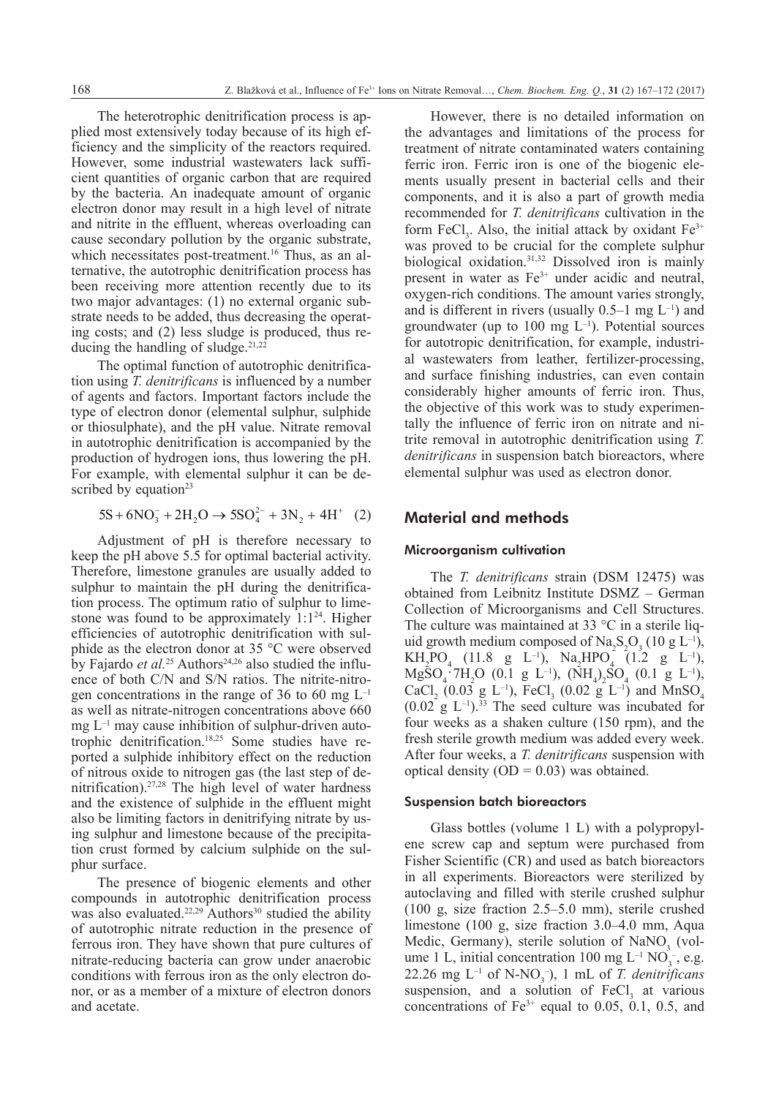The heterotrophic denitrification process is applied most extensively today because of its high efficiency and the simplicity of the reactors required. However, some industrial wastewaters lack sufficient quantities of organic carbon that are required by the bacteria. An inadequate amount of organic electron donor may result in a high level of nitrate and nitrite in the effluent, whereas overloading can cause secondary pollution by the organic substrate, which necessitates post-treatment.<sup>16</sup> Thus, as an alternative, the autotrophic denitrification process has been receiving more attention recently due to its two major advantages: (1) no external organic substrate needs to be added, thus decreasing the operating costs; and (2) less sludge is produced, thus reducing the handling of sludge.<sup>21,22</sup>

The optimal function of autotrophic denitrification using *T. denitrificans* is influenced by a number of agents and factors. Important factors include the type of electron donor (elemental sulphur, sulphide or thiosulphate), and the pH value. Nitrate removal in autotrophic denitrification is accompanied by the production of hydrogen ions, thus lowering the pH. For example, with elemental sulphur it can be described by equation $23$ 

$$
5S + 6NO_3^- + 2H_2O \rightarrow 5SO_4^{2-} + 3N_2 + 4H^+ (2)
$$

Adjustment of pH is therefore necessary to keep the pH above 5.5 for optimal bacterial activity. Therefore, limestone granules are usually added to sulphur to maintain the pH during the denitrification process. The optimum ratio of sulphur to limestone was found to be approximately  $1:1^{24}$ . Higher efficiencies of autotrophic denitrification with sulphide as the electron donor at 35 °C were observed by Fajardo *et al.*<sup>25</sup> Authors<sup>24,26</sup> also studied the influence of both C/N and S/N ratios. The nitrite-nitrogen concentrations in the range of 36 to 60 mg  $L^{-1}$ as well as nitrate-nitrogen concentrations above 660  $mg L<sup>-1</sup>$  may cause inhibition of sulphur-driven autotrophic denitrification.18,25 Some studies have reported a sulphide inhibitory effect on the reduction of nitrous oxide to nitrogen gas (the last step of denitrification).27,28 The high level of water hardness and the existence of sulphide in the effluent might also be limiting factors in denitrifying nitrate by using sulphur and limestone because of the precipitation crust formed by calcium sulphide on the sulphur surface.

The presence of biogenic elements and other compounds in autotrophic denitrification process was also evaluated. $22,29$  Authors<sup>30</sup> studied the ability of autotrophic nitrate reduction in the presence of ferrous iron. They have shown that pure cultures of nitrate-reducing bacteria can grow under anaerobic conditions with ferrous iron as the only electron donor, or as a member of a mixture of electron donors and acetate.

However, there is no detailed information on the advantages and limitations of the process for treatment of nitrate contaminated waters containing ferric iron. Ferric iron is one of the biogenic elements usually present in bacterial cells and their components, and it is also a part of growth media recommended for *T. denitrificans* cultivation in the form  $FeCl<sub>3</sub>$ . Also, the initial attack by oxidant  $Fe<sup>3+</sup>$ was proved to be crucial for the complete sulphur biological oxidation.31,32 Dissolved iron is mainly present in water as Fe<sup>3+</sup> under acidic and neutral, [oxygen-](http://www.lenntech.com/Periodic-chart-elements/O-en.htm)rich conditions. The amount varies strongly, and is different in rivers (usually  $0.5-1$  mg  $L^{-1}$ ) and groundwater (up to 100 mg  $L^{-1}$ ). Potential sources for autotropic denitrification, for example, industrial wastewaters from leather, fertilizer-processing, and surface finishing industries, can even contain considerably higher amounts of ferric iron. Thus, the objective of this work was to study experimentally the influence of ferric iron on nitrate and nitrite removal in autotrophic denitrification using *T. denitrificans* in suspension batch bioreactors, where elemental sulphur was used as electron donor.

# Material and methods

# Microorganism cultivation

The *T. denitrificans* strain (DSM 12475) was obtained from Leibnitz Institute DSMZ – German Collection of Microorganisms and Cell Structures. The culture was maintained at 33  $\degree$ C in a sterile liquid growth medium composed of  $\text{Na}_2\text{S}_2\text{O}_3$  (10 g L<sup>-1</sup>),  $KH_2PO_4$  (11.8 g L<sup>-1</sup>), Na<sub>2</sub>HPO<sub>4</sub> (1.2 g L<sup>-1</sup>),  $MgSO_4$ ·7H<sub>2</sub>O (0.1 g L<sup>-1</sup>), (NH<sub>4</sub>)<sub>2</sub>SO<sub>4</sub> (0.1 g L<sup>-1</sup>),  $CaCl_2$  (0.03 g L<sup>-1</sup>), FeCl<sub>3</sub> (0.02 g L<sup>-1</sup>) and MnSO<sub>4</sub>  $(0.02 \text{ g L}^{-1})$ .<sup>33</sup> The seed culture was incubated for four weeks as a shaken culture (150 rpm), and the fresh sterile growth medium was added every week. After four weeks, a *T. denitrificans* suspension with optical density  $(OD = 0.03)$  was obtained.

### Suspension batch bioreactors

Glass bottles (volume 1 L) with a polypropylene screw cap and septum were purchased from Fisher Scientific (CR) and used as batch bioreactors in all experiments. Bioreactors were sterilized by autoclaving and filled with sterile crushed sulphur (100 g, size fraction 2.5–5.0 mm), sterile crushed limestone (100 g, size fraction 3.0–4.0 mm, Aqua Medic, Germany), sterile solution of  $\text{NaNO}_3$  (volume 1 L, initial concentration 100 mg  $L^{-1}$  NO<sub>3</sub><sup>-</sup>, e.g.  $22.26$  mg  $L^{-1}$  of N-NO<sub>3</sub><sup>-</sup>), 1 mL of *T. denitrificans* suspension, and a solution of  $FeCl<sub>3</sub>$  at various concentrations of  $Fe<sup>3+</sup>$  equal to 0.05, 0.1, 0.5, and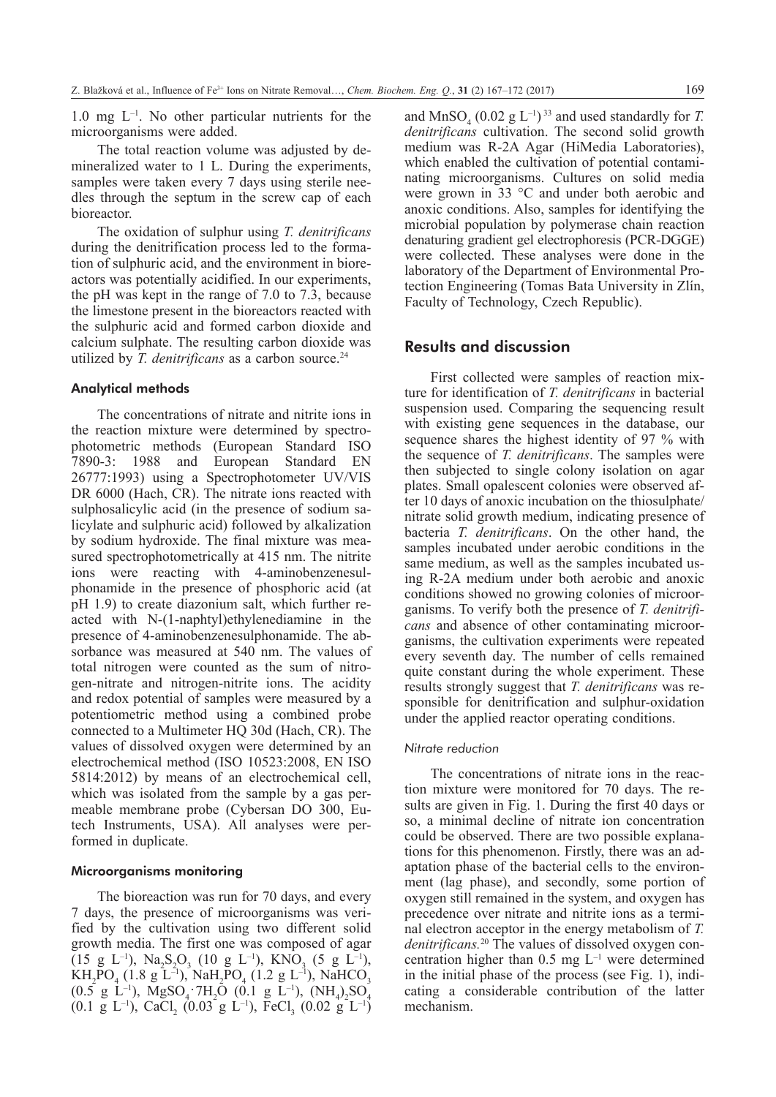$1.0 \text{ mg } L^{-1}$ . No other particular nutrients for the microorganisms were added.

The total reaction volume was adjusted by demineralized water to 1 L. During the experiments, samples were taken every 7 days using sterile needles through the septum in the screw cap of each **bioreactor** 

The oxidation of sulphur using *T. denitrificans* during the denitrification process led to the formation of sulphuric acid, and the environment in bioreactors was potentially acidified. In our experiments, the pH was kept in the range of 7.0 to 7.3, because the limestone present in the bioreactors reacted with the sulphuric acid and formed carbon dioxide and calcium sulphate. The resulting carbon dioxide was utilized by *T. denitrificans* as a carbon source.<sup>24</sup>

# Analytical methods

The concentrations of nitrate and nitrite ions in the reaction mixture were determined by spectrophotometric methods (European Standard ISO 7890-3: 1988 and European Standard EN 26777:1993) using a Spectrophotometer UV/VIS DR 6000 (Hach, CR). The nitrate ions reacted with sulphosalicylic acid (in the presence of sodium salicylate and sulphuric acid) followed by alkalization by sodium hydroxide. The final mixture was measured spectrophotometrically at 415 nm. The nitrite ions were reacting with 4-aminobenzenesulphonamide in the presence of phosphoric acid (at pH 1.9) to create diazonium salt, which further reacted with N-(1-naphtyl)ethylenediamine in the presence of 4-aminobenzenesulphonamide. The absorbance was measured at 540 nm. The values of total nitrogen were counted as the sum of nitrogen-nitrate and nitrogen-nitrite ions. The acidity and redox potential of samples were measured by a potentiometric method using a combined probe connected to a Multimeter HQ 30d (Hach, CR). The values of dissolved oxygen were determined by an electrochemical method (ISO 10523:2008, EN ISO 5814:2012) by means of an electrochemical cell, which was isolated from the sample by a gas permeable membrane probe (Cybersan DO 300, Eutech Instruments, USA). All analyses were performed in duplicate.

## Microorganisms monitoring

The bioreaction was run for 70 days, and every 7 days, the presence of microorganisms was verified by the cultivation using two different solid growth media. The first one was composed of agar  $(15 \text{ g L}^{-1}), \text{ Na}_2\text{S}_2\text{O}_3$   $(10 \text{ g L}^{-1}), \text{ KNO}_3$   $(5 \text{ g L}^{-1}),$  $KH_2PO_4$  (1.8 g L<sup>-1</sup>), NaH<sub>2</sub>PO<sub>4</sub> (1.2 g L<sup>-1</sup>), NaHCO<sub>3</sub>  $(0.5 \text{ g } L^{-1})$ , MgSO<sub>4</sub> 7H<sub>2</sub>O (0.1 g L<sup>-1</sup>), (NH<sub>4</sub>)<sub>2</sub>SO<sub>4</sub>  $(0.1 \text{ g L}^{-1})$ , CaCl<sub>2</sub>  $(0.03 \text{ g L}^{-1})$ , FeCl<sub>3</sub>  $(0.02 \text{ g L}^{-1})$ 

and MnSO<sub>4</sub>  $(0.02 \text{ g L}^{-1})^{33}$  and used standardly for *T*. *denitrificans* cultivation. The second solid growth medium was R-2A Agar (HiMedia Laboratories), which enabled the cultivation of potential contaminating microorganisms. Cultures on solid media were grown in 33 °C and under both aerobic and anoxic conditions. Also, samples for identifying the microbial population by polymerase chain reaction denaturing gradient gel electrophoresis (PCR-DGGE) were collected. These analyses were done in the laboratory of the Department of Environmental Protection Engineering (Tomas Bata University in Zlín, Faculty of Technology, Czech Republic).

# Results and discussion

First collected were samples of reaction mixture for identification of *T. denitrificans* in bacterial suspension used. Comparing the sequencing result with existing gene sequences in the database, our sequence shares the highest identity of 97 % with the sequence of *T. denitrificans*. The samples were then subjected to single colony isolation on agar plates. Small opalescent colonies were observed after 10 days of anoxic incubation on the thiosulphate/ nitrate solid growth medium, indicating presence of bacteria *T. denitrificans*. On the other hand, the samples incubated under aerobic conditions in the same medium, as well as the samples incubated using R-2A medium under both aerobic and anoxic conditions showed no growing colonies of microorganisms. To verify both the presence of *T. denitrificans* and absence of other contaminating microorganisms, the cultivation experiments were repeated every seventh day. The number of cells remained quite constant during the whole experiment. These results strongly suggest that *T. denitrificans* was responsible for denitrification and sulphur-oxidation under the applied reactor operating conditions.

### *Nitrate reduction*

The concentrations of nitrate ions in the reaction mixture were monitored for 70 days. The results are given in Fig. 1. During the first 40 days or so, a minimal decline of nitrate ion concentration could be observed. There are two possible explanations for this phenomenon. Firstly, there was an adaptation phase of the bacterial cells to the environment (lag phase), and secondly, some portion of oxygen still remained in the system, and oxygen has precedence over nitrate and nitrite ions as a terminal electron acceptor in the energy metabolism of *T. denitrificans.*20 The values of dissolved oxygen concentration higher than  $0.5 \text{ mg } L^{-1}$  were determined in the initial phase of the process (see Fig. 1), indicating a considerable contribution of the latter mechanism.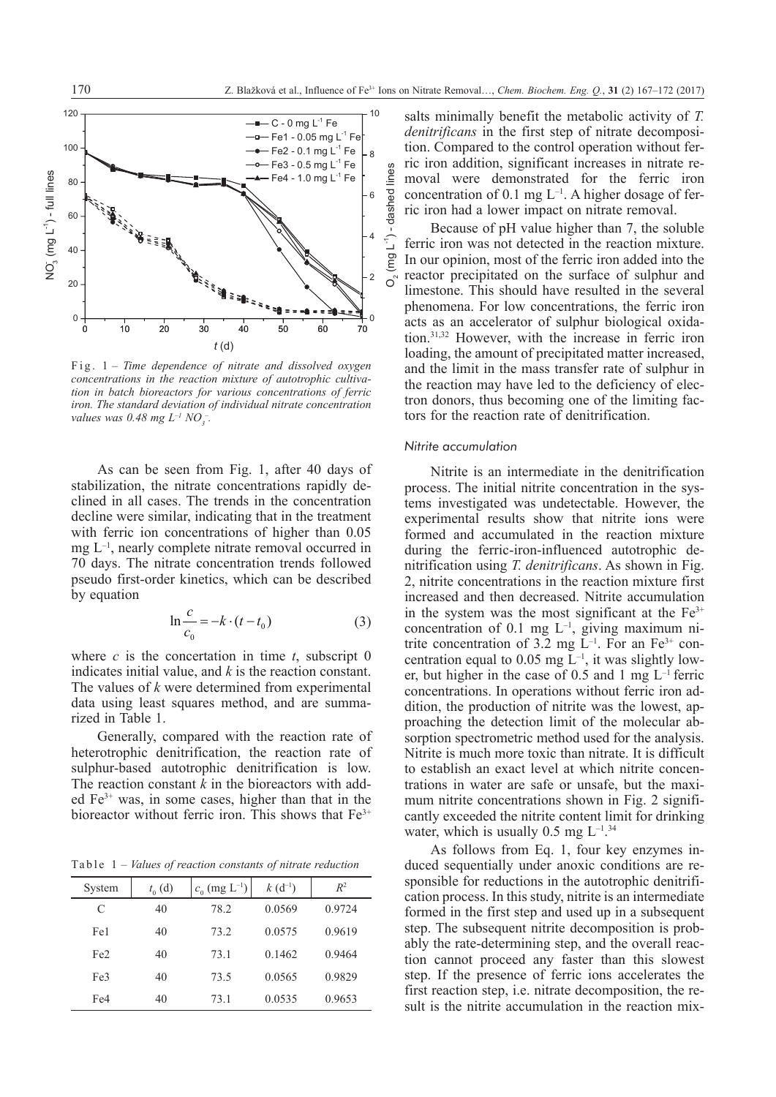

*concentrations in the reaction mixture of autotrophic cultiva-*<br>  $\frac{d}{dx}$ mixture of autotrophic cultivation in batch bioreactors for various concentrations of ferric iron. The - *tion in batch bioreactors for various concentrations of ferric ion in baich bioreactors for various concentrations of ferric*<br>*iron. The standard deviation of individual nitrate concentration values was 0.48 mg*  $L^{-1} NO_3^-$ *.* Fig. 1 *– Time dependence of nitrate and dissolved oxygen* 

As can be seen from Fig. 1, after 40 days of stabilization, the nitrate concentrations rapidly de $s$  clined in all cases. The trends in the concentration tems decline were similar, indicating that in the treatment exper with ferric ion concentrations of higher than  $0.05$  forme mg  $L^{-1}$ , nearly complete nitrate removal occurred in during 20 days. The nitrate concentration trends followed initrifications in the maximum number of maximum nitritions in the maximum nitrition or unsafe or unsafe or unsafe or unsafe or unsafe or unsafe or unsafe or unsafe or uns pseudo first-order kinetics, which can be described by equation increasing  $\mathbf{p}$  is the equation increasing induced sequentially under anomic conditions are equations are equations are equations are equations are equations are equations are equations are equations are eq were formed and accumulated in the reaction mixture during the ferric-iron-influenced autotrophic the ferric-iron-influenced autotrophic the ferric-iron-influenced autotrophic the ferric-iron-influenced autotrophic the fe  $L_{\rm H}$  concentration equal to  $\frac{1}{2}$  mg L-1, it was slightly lower, but higher in the concentration  $L_{\rm H}$  $\sigma$  cays. The muate concentration trends tonowed in figure

$$
\ln \frac{c}{c_0} = -k \cdot (t - t_0)
$$
 (3) in the  
conce  
trite c

where *c* is the concertation in time *t*, subscript  $0$  centra indicates initial value, and  $k$  is the reaction constant.  $\qquad$  er bu The values of  $k$  were determined from experimental conce data using least squares method, and are summa-<br>diti rized in Table 1.  $\frac{1}{2}$  denotes  $\frac{1}{2}$ 

> Generally, compared with the reaction rate of heterotrophic denitrification, the reaction rate of sulphur-based autotrophic denitrification is low. The reaction constant *k* in the bioreactors with added  $Fe<sup>3+</sup>$  was, in some cases, higher than that in the bioreactor without ferric iron. This shows that  $Fe<sup>3+</sup>$

Table 1 *– Values of reaction constants of nitrate reduction* 

| System          | $t_0(d)$ | $c_0$ (mg L <sup>-1</sup> ) | $k(d^{-1})$ | $R^2$  |
|-----------------|----------|-----------------------------|-------------|--------|
| C               | 40       | 78.2                        | 0.0569      | 0.9724 |
| Fe1             | 40       | 73.2                        | 0.0575      | 0.9619 |
| Fe <sub>2</sub> | 40       | 73.1                        | 0.1462      | 0.9464 |
| Fe <sub>3</sub> | 40       | 73.5                        | 0.0565      | 0.9829 |
| Fe4             | 40       | 73.1                        | 0.0535      | 0.9653 |
|                 |          |                             |             |        |

salts minimally benefit the metabolic activity of *T. denitrificans* in the first step of nitrate decomposition. Compared to the control operation without ferric iron addition, significant increases in nitrate removal were demonstrated for the ferric iron concentration of  $0.1 \text{ mg L}^{-1}$ . A higher dosage of ferric iron had a lower impact on nitrate removal.

Because of pH value higher than 7, the soluble ferric iron was not detected in the reaction mixture. In our opinion, most of the ferric iron added into the reactor precipitated on the surface of sulphur and limestone. This should have resulted in the several phenomena. For low concentrations, the ferric iron acts as an accelerator of sulphur biological oxidation.31,32 However, with the increase in ferric iron loading, the amount of precipitated matter increased, and the limit in the mass transfer rate of sulphur in the reaction may have led to the deficiency of electron donors, thus becoming one of the limiting factors for the reaction rate of denitrification.

#### *Nitrite accumulation* Nitrite is an intermediate in the denitrification process. The initial nitrite concentration in the systems investigated was undetectable. However, the experimental results show that nitrite ions

Nitrite is an intermediate in the denitrification process. The initial nitrite concentration in the systems investigated was undetectable. However, the experimental results show that nitrite ions were formed and accumulated in the reaction mixture during the ferric-iron-influenced autotrophic denitrification using *T. denitrificans*. As shown in Fig. 2, nitrite concentrations in the reaction mixture first increased and then decreased. Nitrite accumulation in the system was the most significant at the  $Fe<sup>3+</sup>$ concentration of 0.1 mg  $L^{-1}$ , giving maximum nitrite concentration of 3.2 mg  $L^{-1}$ . For an Fe<sup>3+</sup> concentration equal to 0.05 mg  $\bar{L}^{-1}$ , it was slightly lower, but higher in the case of 0.5 and 1 mg  $L^{-1}$  ferric concentrations. In operations without ferric iron addition, the production of nitrite was the lowest, approaching the detection limit of the molecular absorption spectrometric method used for the analysis. Nitrite is much more toxic than nitrate. It is difficult to establish an exact level at which nitrite concentrations in water are safe or unsafe, but the maximum nitrite concentrations shown in Fig. 2 significantly exceeded the nitrite content limit for drinking water, which is usually 0.5 mg  $L^{-1}$ .<sup>[34](#page-5-0)</sup>

As follows from Eq. 1, four key enzymes induced sequentially under anoxic conditions are responsible for reductions in the autotrophic denitrification process. In this study, nitrite is an intermediate formed in the first step and used up in a subsequent step. The subsequent nitrite decomposition is probably the rate-determining step, and the overall reaction cannot proceed any faster than this slowest step. If the presence of ferric ions accelerates the first reaction step, i.e. nitrate decomposition, the result is the nitrite accumulation in the reaction mix-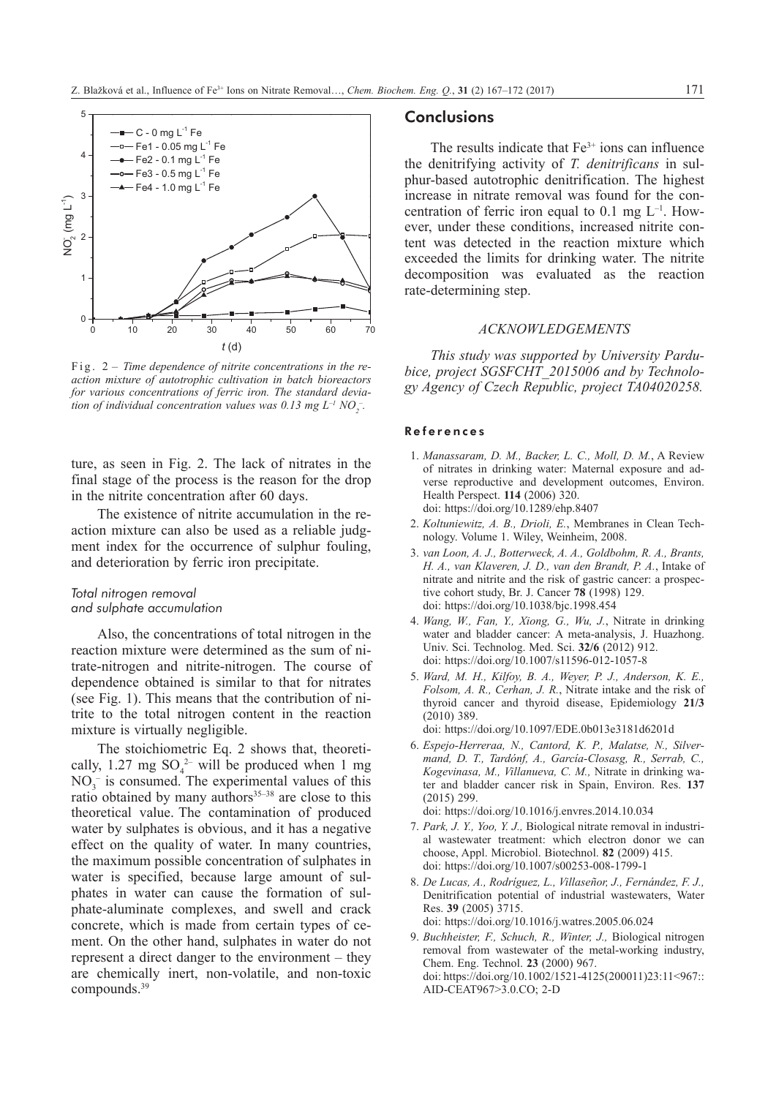

*action mixture of autotrophic cultivation in batch bioreactors DICE, pr* for various concentrations of ferric iron. The standard devia-<br>gy Agel *for various concentrations of ferric tron. The standard deviction of individual concentration values was*  $0.13 \text{ mg } L^{-1} \text{ NO}_2^-$ *.* Fig. 2 *– Time dependence of nitrite concentrations in the re-*

ture, as seen in Fig. 2. The lack of nitrates in the  $\frac{1. \text{Man}}{1. \text{A}}$ final stage of the process is the reason for the drop in the nitrite concentration after 60 days. Heal final stage of the process is the reason for the drop verse

The existence of nitrite accumulation in the reaction mixture can also be used as a reliable judg-<br> $\frac{2. \text{Nout}}{\text{noloc}}$ ment index for the occurrence of sulphur fouling,  $\frac{1}{3}$ and deterioration by ferric iron precipitate.  $\frac{1}{2}$  and  $\frac{1}{2}$  and  $\frac{1}{2}$  and  $\frac{1}{2}$  and  $\frac{1}{2}$  and  $\frac{1}{2}$  and  $\frac{1}{2}$  and  $\frac{1}{2}$  and  $\frac{1}{2}$  and  $\frac{1}{2}$  and  $\frac{1}{2}$  and  $\frac{1}{2}$  and  $\frac{1}{2$ negative effect of many accumulation in the re-<br> $\frac{1}{2}$  Kolt

#### *Total nitrogen removal*  **Conclusions**  and sulphate accumulation **that Fe3+ inclusive** doi: in such as uncerease autotrophic density increase in  $4 W_{\text{rms}}$

Also, the concentrations of total nitrogen in the  $\frac{4.1 \text{ mJ}}{2.0 \text{ rad/s}}$ reaction mixture were determined as the sum of nitrate-nitrogen and nitrite-nitrogen. The course of dependence obtained is similar to that for nitrates  $\frac{1}{100}$  (see Fig. 1). This means that the contribution of ni-<br>the three trite to the total nitrogen content in the reaction mixture is virtually negligible. Teaction infixitive were determined as the sum of (see Fig. 1). This inealls the

> The stoichiometric Eq. 2 shows that, theoretically, 1.27 mg  $SO_4^{2-}$  will be produced when 1 mg  $NO<sub>3</sub><sup>-</sup>$  is consumed. The experimental values of this ratio obtained by many authors<sup>35-[38](#page-5-2)</sup> are close to this theoretical value. The contamination of produced water by sulphates is obvious, and it has a negative effect on the quality of water. In many countries, the maximum possible concentration of sulphates in water is specified, because large amount of sulphates in water can cause the formation of sulphate-aluminate complexes, and swell and crack concrete, which is made from certain types of cement. On the other hand, sulphates in water do not represent a direct danger to the environment – they are chemically inert, non-volatile, and non-toxic compounds.[39](#page-5-3)

# **Conclusions**

The results indicate that  $Fe<sup>3+</sup>$  ions can influence the denitrifying activity of *T. denitrificans* in sulphur-based autotrophic denitrification. The highest increase in nitrate removal was found for the concentration of ferric iron equal to  $0.1 \text{ mg } L^{-1}$ . However, under these conditions, increased nitrite content was detected in the reaction mixture which exceeded the limits for drinking water. The nitrite decomposition was evaluated as the reaction rate-determining step.

# *Acknowledgements*

*This study was supported by University Pardubice, project SGSFCHT\_2015006 and by Technology Agency of Czech Republic, project TA04020258.*

#### References  $A = \alpha$  nitrogen in the concentrations of the reaction mixture were determined as the summation mixture were determined as the summation mixture were determined as the summation mixture were determined as the summation mix

- 1. *Manassaram, D. M., Backer, L. C., Moll, D. M.*, A Review of nitrates in drinking water: Maternal exposure and adverse reproductive and development outcomes, Environ. Health Perspect. **114** (2006) 320. [doi: https://doi.org/10.1289/ehp.8407](https://doi.org/10.1289/ehp.8407) of nitrate-nitrate-nitrate-nitrite-nitrite-nitrite-nitrite-nitrite-nitrite-nitrite-nitrite-nitrite-nitrite-nitrite-nitrite-nitrite-nitrite-nitrite-nitrite-nitrite-nitrite-nitrite-nitrite-nitrite-nitrite-nitrite-nitrite-ni
	- 2. *Koltuniewitz, A. B., Drioli, E.*, Membranes in Clean Technology. Volume 1. Wiley, Weinheim, 2008.
	- 3. *van Loon, A. J., Botterweck, A. A., Goldbohm, R. A., Brants, H. A., van Klaveren, J. D., van den Brandt, P. A.*, Intake of nitrate and nitrite and the risk of gastric cancer: a prospective cohort study, Br. J. Cancer **78** (1998) 129. [doi: https://doi.org/10.1038/bjc.1998.454](https://doi.org/10.1038/bjc.1998.454)
	- 4. *Wang, W., Fan, Y., Xiong, G., Wu, J.*, Nitrate in drinking water and bladder cancer: A meta-analysis, J. Huazhong. Univ. Sci. Technolog. Med. Sci. **32/6** (2012) 912. [doi: https://doi.org/10.1007/s11596-012-1057-8](https://doi.org/10.1007/s11596-012-1057-8)
	- 5. *Ward, M. H., Kilfoy, B. A., Weyer, P. J., Anderson, K. E., Folsom, A. R., Cerhan, J. R.*, Nitrate intake and the risk of thyroid cancer and thyroid disease, Epidemiology **21/3** (2010) 389.

[doi: https://doi.org/10.1097/EDE.0b013e3181d6201d](https://doi.org/10.1097/EDE.0b013e3181d6201d)

6. *Espejo-Herreraa, N., Cantord, K. P., Malatse, N., Silvermand, D. T., Tardónf, A., García-Closasg, R., Serrab, C., Kogevinasa, M., Villanueva, C. M.,* Nitrate in drinking water and bladder cancer risk in Spain, Environ. Res. **137** (2015) 299.

[doi: https://doi.org/10.1016/j.envres.2014.10.034](https://doi.org/10.1016/j.envres.2014.10.034)

- 7. *Park, J. Y., Yoo, Y. J.,* Biological nitrate removal in industrial wastewater treatment: which electron donor we can choose, Appl. Microbiol. Biotechnol. **82** (2009) 415. [doi: https://doi.org/10.1007/s00253-008-1799-1](https://doi.org/10.1007/s00253-008-1799-1)
- 8. *De Lucas, A., Rodríguez, L., Villaseñor, J., Fernández, F. J.,*  Denitrification potential of industrial wastewaters, Water Res. **39** (2005) 3715. [doi: https://doi.org/10.1016/j.watres.2005.06.024](https://doi.org/10.1016/j.watres.2005.06.024)
- 9. *Buchheister, F., Schuch, R., Winter, J.,* Biological nitrogen removal from wastewater of the metal-working industry, Chem. Eng. Technol. **23** (2000) 967. [doi: https://doi.org/10.1002/1521-4125\(200011\)23:11<967::](https://doi.org/10.1002/1521-4125%28200011%2923:11%3C967::AID-CEAT967%3E3.0.CO;2-D) [AID-CEAT967>3.0.CO; 2-D](https://doi.org/10.1002/1521-4125%28200011%2923:11%3C967::AID-CEAT967%3E3.0.CO;2-D)